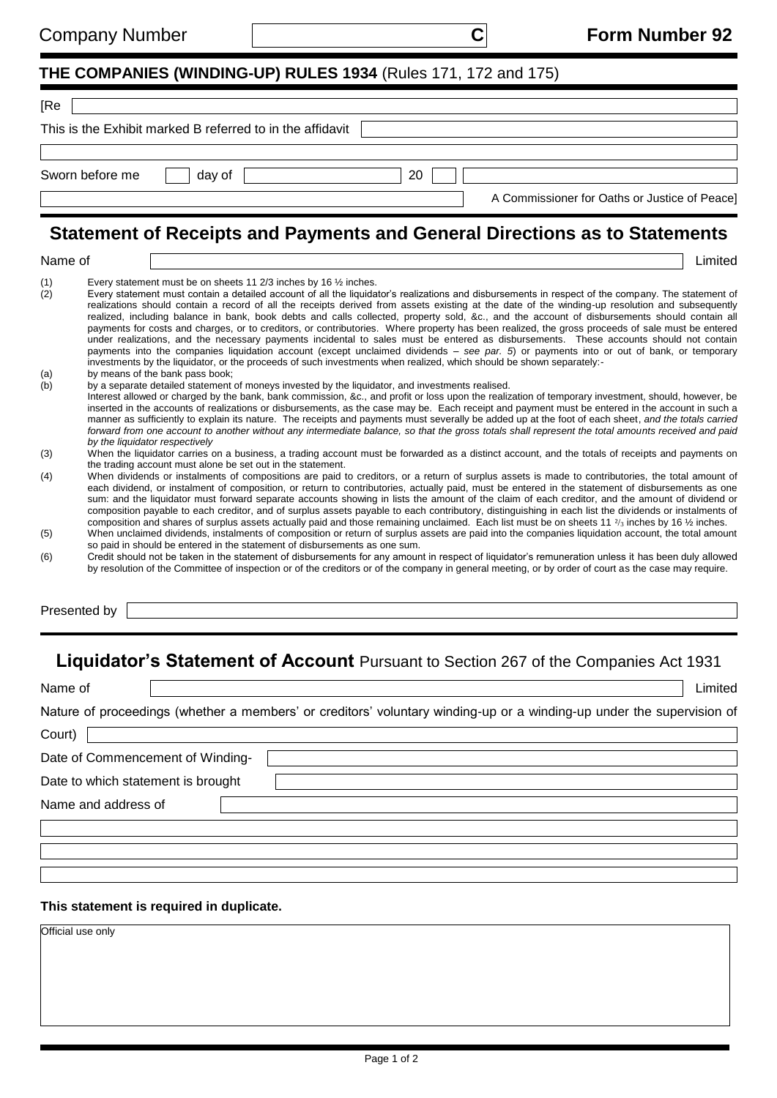| Company Number |  |
|----------------|--|
|                |  |

**THE COMPANIES (WINDING-UP) RULES 1934** (Rules 171, 172 and 175)

|                          | Sworn before me | day of                                                                                                         | 20                                                                                                                                                                                                                       |                                                                                                                                                                                                                                                                                                                                                                                                                                                                                                                                                                                                                                                                                                                                                                                                                                                                                                                                                                                                                                                                                                                                                                                                                                                                                                                                                                   |
|--------------------------|-----------------|----------------------------------------------------------------------------------------------------------------|--------------------------------------------------------------------------------------------------------------------------------------------------------------------------------------------------------------------------|-------------------------------------------------------------------------------------------------------------------------------------------------------------------------------------------------------------------------------------------------------------------------------------------------------------------------------------------------------------------------------------------------------------------------------------------------------------------------------------------------------------------------------------------------------------------------------------------------------------------------------------------------------------------------------------------------------------------------------------------------------------------------------------------------------------------------------------------------------------------------------------------------------------------------------------------------------------------------------------------------------------------------------------------------------------------------------------------------------------------------------------------------------------------------------------------------------------------------------------------------------------------------------------------------------------------------------------------------------------------|
|                          |                 |                                                                                                                |                                                                                                                                                                                                                          | A Commissioner for Oaths or Justice of Peace]                                                                                                                                                                                                                                                                                                                                                                                                                                                                                                                                                                                                                                                                                                                                                                                                                                                                                                                                                                                                                                                                                                                                                                                                                                                                                                                     |
|                          |                 |                                                                                                                |                                                                                                                                                                                                                          | <b>Statement of Receipts and Payments and General Directions as to Statements</b>                                                                                                                                                                                                                                                                                                                                                                                                                                                                                                                                                                                                                                                                                                                                                                                                                                                                                                                                                                                                                                                                                                                                                                                                                                                                                 |
| Name of                  |                 |                                                                                                                |                                                                                                                                                                                                                          | Limited                                                                                                                                                                                                                                                                                                                                                                                                                                                                                                                                                                                                                                                                                                                                                                                                                                                                                                                                                                                                                                                                                                                                                                                                                                                                                                                                                           |
| (1)<br>(2)<br>(a)<br>(b) |                 | Every statement must be on sheets 11 2/3 inches by 16 $\frac{1}{2}$ inches.<br>by means of the bank pass book; | investments by the liquidator, or the proceeds of such investments when realized, which should be shown separately:-<br>by a separate detailed statement of moneys invested by the liquidator, and investments realised. | Every statement must contain a detailed account of all the liquidator's realizations and disbursements in respect of the company. The statement of<br>realizations should contain a record of all the receipts derived from assets existing at the date of the winding-up resolution and subsequently<br>realized, including balance in bank, book debts and calls collected, property sold, &c., and the account of disbursements should contain all<br>payments for costs and charges, or to creditors, or contributories. Where property has been realized, the gross proceeds of sale must be entered<br>under realizations, and the necessary payments incidental to sales must be entered as disbursements. These accounts should not contain<br>payments into the companies liquidation account (except unclaimed dividends – see par. 5) or payments into or out of bank, or temporary<br>Interest allowed or charged by the bank, bank commission, &c., and profit or loss upon the realization of temporary investment, should, however, be<br>inserted in the accounts of realizations or disbursements, as the case may be. Each receipt and payment must be entered in the account in such a<br>manner as sufficiently to explain its nature. The receipts and payments must severally be added up at the foot of each sheet, and the totals carried |
| (3)                      |                 | by the liquidator respectively<br>the trading account must alone be set out in the statement.                  |                                                                                                                                                                                                                          | forward from one account to another without any intermediate balance, so that the gross totals shall represent the total amounts received and paid<br>When the liquidator carries on a business, a trading account must be forwarded as a distinct account, and the totals of receipts and payments on                                                                                                                                                                                                                                                                                                                                                                                                                                                                                                                                                                                                                                                                                                                                                                                                                                                                                                                                                                                                                                                            |
| (4)<br>(5)               |                 |                                                                                                                |                                                                                                                                                                                                                          | When dividends or instalments of compositions are paid to creditors, or a return of surplus assets is made to contributories, the total amount of<br>each dividend, or instalment of composition, or return to contributories, actually paid, must be entered in the statement of disbursements as one<br>sum: and the liquidator must forward separate accounts showing in lists the amount of the claim of each creditor, and the amount of dividend or<br>composition payable to each creditor, and of surplus assets payable to each contributory, distinguishing in each list the dividends or instalments of<br>composition and shares of surplus assets actually paid and those remaining unclaimed. Each list must be on sheets 11 $\frac{2}{3}$ inches by 16 $\frac{1}{2}$ inches.<br>When unclaimed dividends, instalments of composition or return of surplus assets are paid into the companies liquidation account, the total amount                                                                                                                                                                                                                                                                                                                                                                                                                 |
| (6)                      |                 | so paid in should be entered in the statement of disbursements as one sum.                                     |                                                                                                                                                                                                                          | Credit should not be taken in the statement of disbursements for any amount in respect of liquidator's remuneration unless it has been duly allowed<br>by resolution of the Committee of inspection or of the creditors or of the company in general meeting, or by order of court as the case may require.                                                                                                                                                                                                                                                                                                                                                                                                                                                                                                                                                                                                                                                                                                                                                                                                                                                                                                                                                                                                                                                       |
|                          |                 |                                                                                                                |                                                                                                                                                                                                                          |                                                                                                                                                                                                                                                                                                                                                                                                                                                                                                                                                                                                                                                                                                                                                                                                                                                                                                                                                                                                                                                                                                                                                                                                                                                                                                                                                                   |
| Presented by             |                 |                                                                                                                |                                                                                                                                                                                                                          |                                                                                                                                                                                                                                                                                                                                                                                                                                                                                                                                                                                                                                                                                                                                                                                                                                                                                                                                                                                                                                                                                                                                                                                                                                                                                                                                                                   |

 **C**

**This statement is required in duplicate.**

Date to which statement is brought

Date of Commencement of Winding-

 $\sqrt{ }$ 

Name and address of

Official use only

Court)

liquidator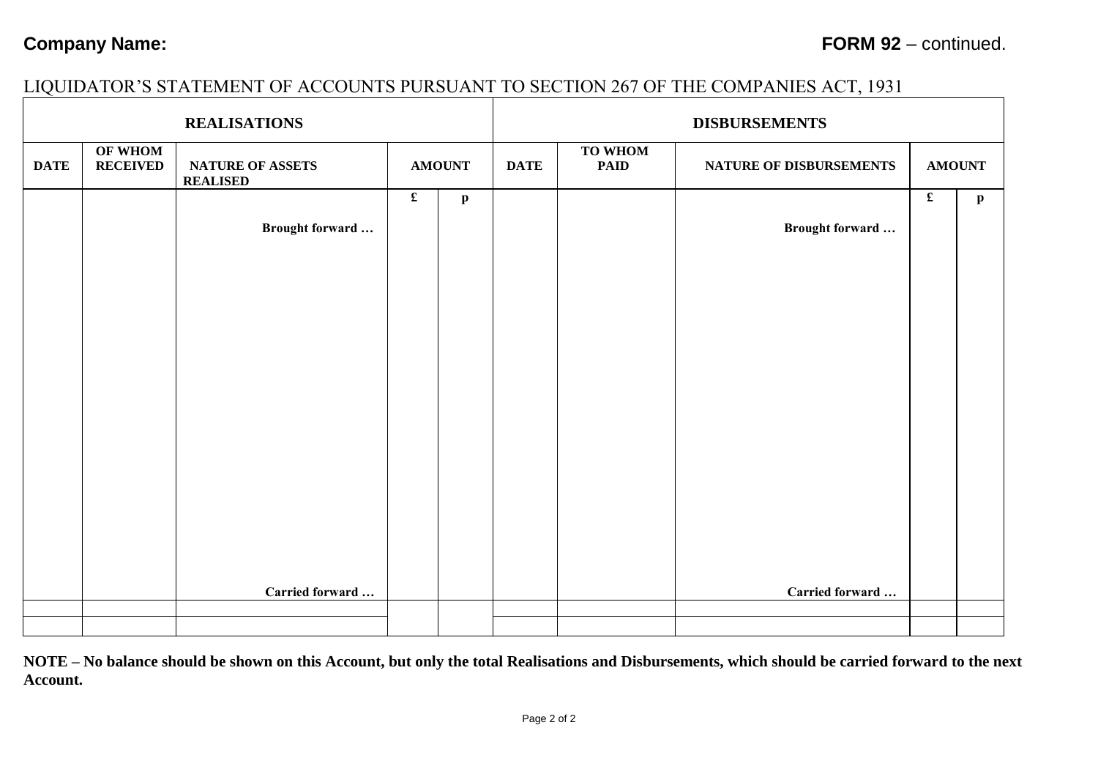## LIQUIDATOR'S STATEMENT OF ACCOUNTS PURSUANT TO SECTION 267 OF THE COMPANIES ACT, 1931

| <b>REALISATIONS</b> |                            |                                     | <b>DISBURSEMENTS</b> |               |             |                               |                         |               |              |
|---------------------|----------------------------|-------------------------------------|----------------------|---------------|-------------|-------------------------------|-------------------------|---------------|--------------|
| <b>DATE</b>         | OF WHOM<br><b>RECEIVED</b> | NATURE OF ASSETS<br><b>REALISED</b> |                      | <b>AMOUNT</b> | <b>DATE</b> | <b>TO WHOM</b><br><b>PAID</b> | NATURE OF DISBURSEMENTS | <b>AMOUNT</b> |              |
|                     |                            | Brought forward                     | $\pmb{\mathfrak{L}}$ | $\mathbf{p}$  |             |                               | Brought forward         | $\mathbf f$   | $\mathbf{p}$ |
|                     |                            |                                     |                      |               |             |                               |                         |               |              |
|                     |                            |                                     |                      |               |             |                               |                         |               |              |
|                     |                            |                                     |                      |               |             |                               |                         |               |              |
|                     |                            | Carried forward                     |                      |               |             |                               | Carried forward         |               |              |
|                     |                            |                                     |                      |               |             |                               |                         |               |              |

**NOTE – No balance should be shown on this Account, but only the total Realisations and Disbursements, which should be carried forward to the next Account.**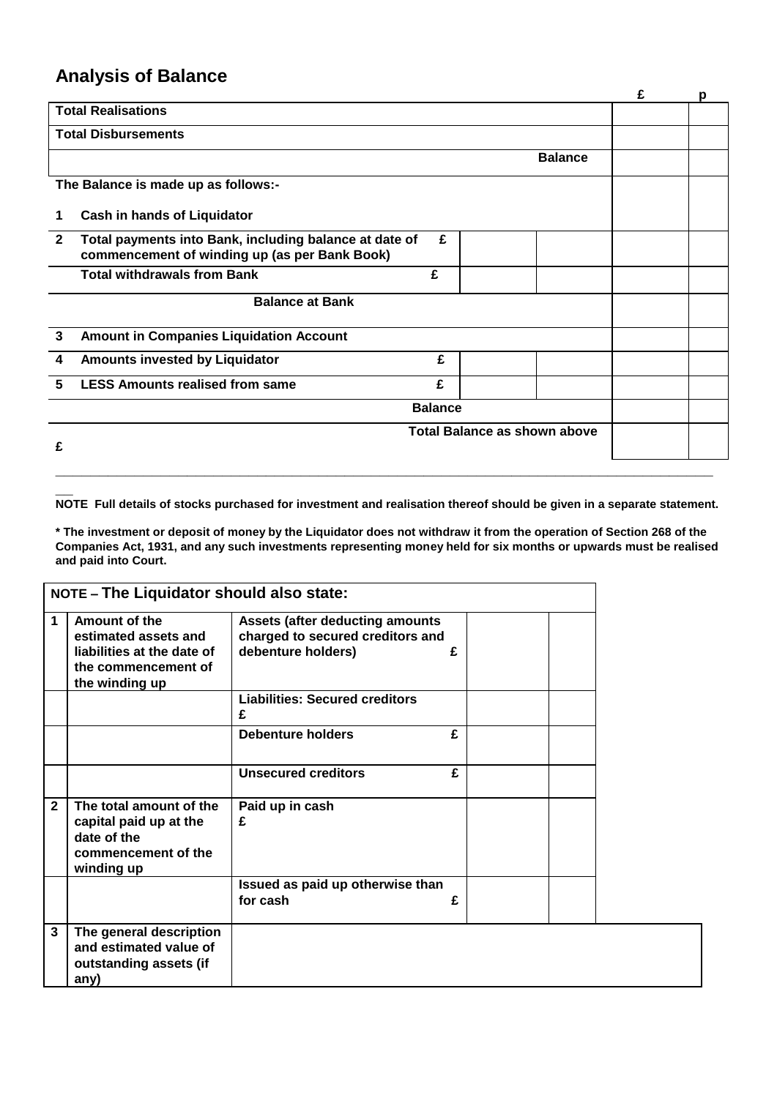## **Analysis of Balance**

|              |                                                                                                              | £ | p |
|--------------|--------------------------------------------------------------------------------------------------------------|---|---|
|              | <b>Total Realisations</b>                                                                                    |   |   |
|              | <b>Total Disbursements</b>                                                                                   |   |   |
|              | <b>Balance</b>                                                                                               |   |   |
|              | The Balance is made up as follows:-                                                                          |   |   |
| 1            | <b>Cash in hands of Liquidator</b>                                                                           |   |   |
| $\mathbf{2}$ | Total payments into Bank, including balance at date of<br>£<br>commencement of winding up (as per Bank Book) |   |   |
|              | <b>Total withdrawals from Bank</b><br>£                                                                      |   |   |
|              | <b>Balance at Bank</b>                                                                                       |   |   |
| 3            | <b>Amount in Companies Liquidation Account</b>                                                               |   |   |
| 4            | £<br><b>Amounts invested by Liquidator</b>                                                                   |   |   |
| 5            | <b>LESS Amounts realised from same</b><br>£                                                                  |   |   |
|              | <b>Balance</b>                                                                                               |   |   |
| £            | <b>Total Balance as shown above</b>                                                                          |   |   |

**\_\_ NOTE Full details of stocks purchased for investment and realisation thereof should be given in a separate statement.**

**\* The investment or deposit of money by the Liquidator does not withdraw it from the operation of Section 268 of the Companies Act, 1931, and any such investments representing money held for six months or upwards must be realised and paid into Court.**

|                | NOTE - The Liquidator should also state:                                                                     |                                                                                                  |   |
|----------------|--------------------------------------------------------------------------------------------------------------|--------------------------------------------------------------------------------------------------|---|
| 1              | Amount of the<br>estimated assets and<br>liabilities at the date of<br>the commencement of<br>the winding up | <b>Assets (after deducting amounts</b><br>charged to secured creditors and<br>debenture holders) | £ |
|                |                                                                                                              | <b>Liabilities: Secured creditors</b><br>£                                                       |   |
|                |                                                                                                              | Debenture holders                                                                                | £ |
|                |                                                                                                              | <b>Unsecured creditors</b>                                                                       | £ |
| $\overline{2}$ | The total amount of the<br>capital paid up at the<br>date of the<br>commencement of the<br>winding up        | Paid up in cash<br>£                                                                             |   |
|                |                                                                                                              | Issued as paid up otherwise than<br>for cash                                                     | £ |
| 3              | The general description<br>and estimated value of<br>outstanding assets (if<br>any)                          |                                                                                                  |   |